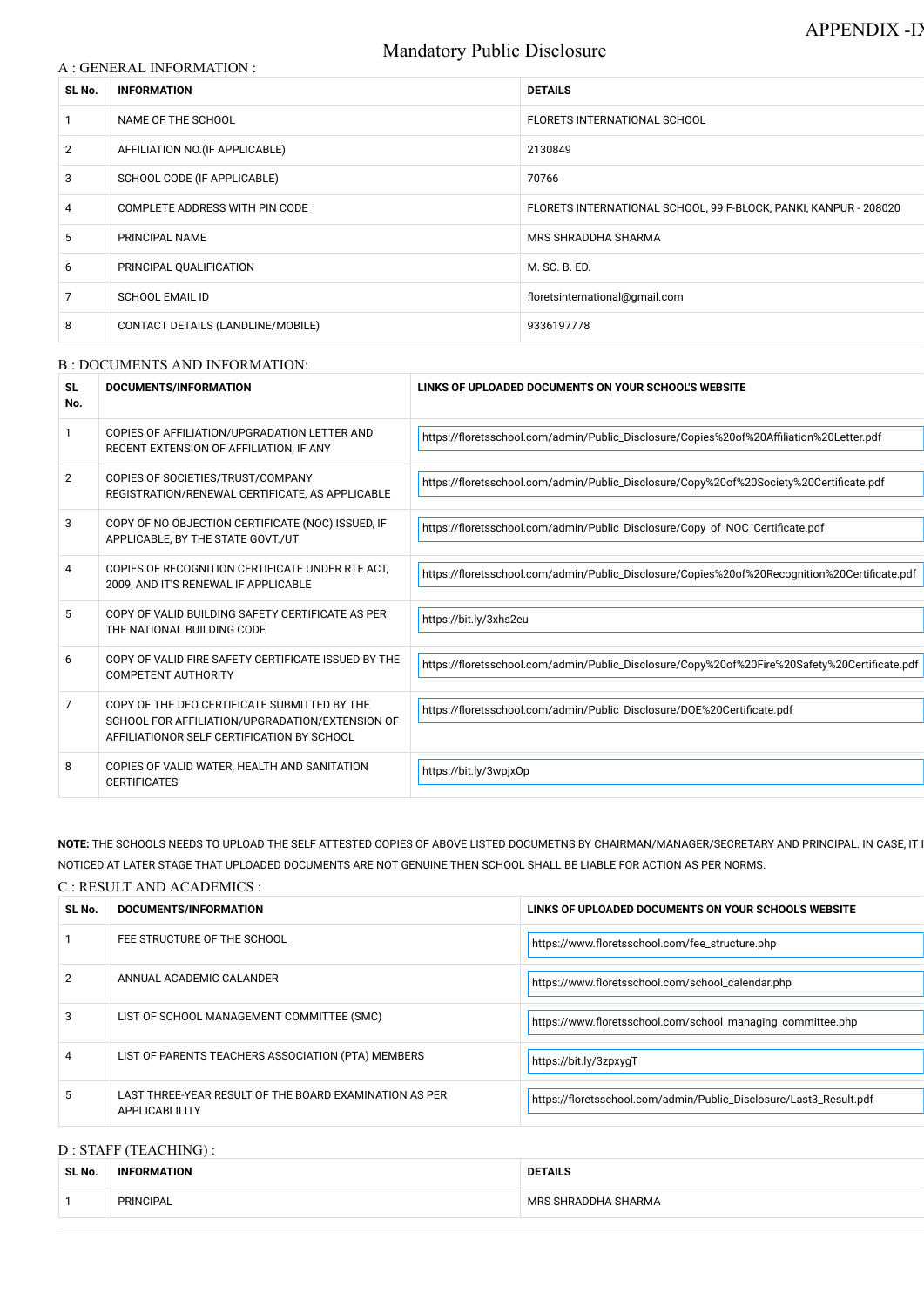# Mandatory Public Disclosure

|  | A : GENERAL INFORMATION : |  |
|--|---------------------------|--|
|  |                           |  |

| SL No.         | <b>INFORMATION</b>                | <b>DETAILS</b>                                                   |  |
|----------------|-----------------------------------|------------------------------------------------------------------|--|
| $\mathbf{1}$   | NAME OF THE SCHOOL                | FLORETS INTERNATIONAL SCHOOL                                     |  |
| $\overline{2}$ | AFFILIATION NO. (IF APPLICABLE)   | 2130849                                                          |  |
| 3              | SCHOOL CODE (IF APPLICABLE)       | 70766                                                            |  |
| $\overline{4}$ | COMPLETE ADDRESS WITH PIN CODE    | FLORETS INTERNATIONAL SCHOOL, 99 F-BLOCK, PANKI, KANPUR - 208020 |  |
| 5              | PRINCIPAL NAME                    | MRS SHRADDHA SHARMA                                              |  |
| 6              | PRINCIPAL QUALIFICATION           | M. SC. B. ED.                                                    |  |
| $\overline{7}$ | <b>SCHOOL EMAIL ID</b>            | floretsinternational@gmail.com                                   |  |
| 8              | CONTACT DETAILS (LANDLINE/MOBILE) | 9336197778                                                       |  |

#### B : DOCUMENTS AND INFORMATION:

NOTE: THE SCHOOLS NEEDS TO UPLOAD THE SELF ATTESTED COPIES OF ABOVE LISTED DOCUMETNS BY CHAIRMAN/MANAGER/SECRETARY AND PRINCIPAL. IN CASE, IT NOTICED AT LATER STAGE THAT UPLOADED DOCUMENTS ARE NOT GENUINE THEN SCHOOL SHALL BE LIABLE FOR ACTION AS PER NORMS.

| <b>SL</b><br>No. | DOCUMENTS/INFORMATION                                                                                                                         | LINKS OF UPLOADED DOCUMENTS ON YOUR SCHOOL'S WEBSITE                                          |
|------------------|-----------------------------------------------------------------------------------------------------------------------------------------------|-----------------------------------------------------------------------------------------------|
| 1                | COPIES OF AFFILIATION/UPGRADATION LETTER AND<br>RECENT EXTENSION OF AFFILIATION, IF ANY                                                       | https://floretsschool.com/admin/Public_Disclosure/Copies%20of%20Affiliation%20Letter.pdf      |
| $\overline{2}$   | COPIES OF SOCIETIES/TRUST/COMPANY<br>REGISTRATION/RENEWAL CERTIFICATE, AS APPLICABLE                                                          | https://floretsschool.com/admin/Public_Disclosure/Copy%20of%20Society%20Certificate.pdf       |
| 3                | COPY OF NO OBJECTION CERTIFICATE (NOC) ISSUED, IF<br>APPLICABLE, BY THE STATE GOVT./UT                                                        | https://floretsschool.com/admin/Public_Disclosure/Copy_of_NOC_Certificate.pdf                 |
| 4                | COPIES OF RECOGNITION CERTIFICATE UNDER RTE ACT.<br>2009, AND IT'S RENEWAL IF APPLICABLE                                                      | https://floretsschool.com/admin/Public_Disclosure/Copies%20of%20Recognition%20Certificate.pdf |
| $5\phantom{.0}$  | COPY OF VALID BUILDING SAFETY CERTIFICATE AS PER<br>THE NATIONAL BUILDING CODE                                                                | https://bit.ly/3xhs2eu                                                                        |
| 6                | COPY OF VALID FIRE SAFETY CERTIFICATE ISSUED BY THE<br><b>COMPETENT AUTHORITY</b>                                                             | https://floretsschool.com/admin/Public_Disclosure/Copy%20of%20Fire%20Safety%20Certificate.pdf |
| 7                | COPY OF THE DEO CERTIFICATE SUBMITTED BY THE<br>SCHOOL FOR AFFILIATION/UPGRADATION/EXTENSION OF<br>AFFILIATIONOR SELF CERTIFICATION BY SCHOOL | https://floretsschool.com/admin/Public_Disclosure/DOE%20Certificate.pdf                       |
| 8                | COPIES OF VALID WATER, HEALTH AND SANITATION<br><b>CERTIFICATES</b>                                                                           | https://bit.ly/3wpjxOp                                                                        |

## C : RESULT AND ACADEMICS :

| SL No.        | <b>DOCUMENTS/INFORMATION</b>                                             | LINKS OF UPLOADED DOCUMENTS ON YOUR SCHOOL'S WEBSITE               |
|---------------|--------------------------------------------------------------------------|--------------------------------------------------------------------|
|               | FEE STRUCTURE OF THE SCHOOL                                              | https://www.floretsschool.com/fee_structure.php                    |
| $\mathcal{P}$ | ANNUAL ACADEMIC CALANDER                                                 | https://www.floretsschool.com/school_calendar.php                  |
| 3             | LIST OF SCHOOL MANAGEMENT COMMITTEE (SMC)                                | https://www.floretsschool.com/school_managing_committee.php        |
| 4             | LIST OF PARENTS TEACHERS ASSOCIATION (PTA) MEMBERS                       | https://bit.ly/3zpxygT                                             |
| 5.            | LAST THREE-YEAR RESULT OF THE BOARD EXAMINATION AS PER<br>APPLICABLILITY | https://floretsschool.com/admin/Public_Disclosure/Last3_Result.pdf |

## D : STAFF (TEACHING) :

| SL No. | <b>INFORMATION</b> | <b>DETAILS</b>      |
|--------|--------------------|---------------------|
|        | PRINCIPAL          | MRS SHRADDHA SHARMA |